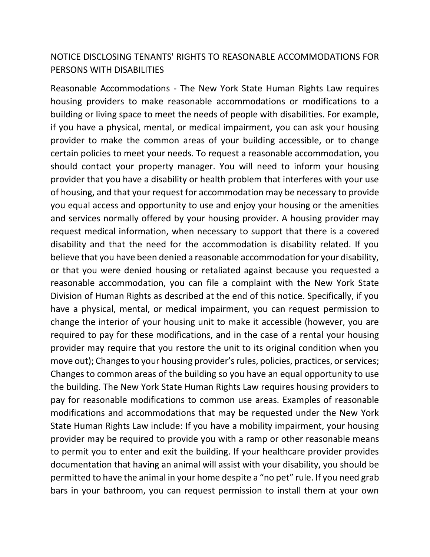## NOTICE DISCLOSING TENANTS' RIGHTS TO REASONABLE ACCOMMODATIONS FOR PERSONS WITH DISABILITIES

Reasonable Accommodations - The New York State Human Rights Law requires housing providers to make reasonable accommodations or modifications to a building or living space to meet the needs of people with disabilities. For example, if you have a physical, mental, or medical impairment, you can ask your housing provider to make the common areas of your building accessible, or to change certain policies to meet your needs. To request a reasonable accommodation, you should contact your property manager. You will need to inform your housing provider that you have a disability or health problem that interferes with your use of housing, and that your request for accommodation may be necessary to provide you equal access and opportunity to use and enjoy your housing or the amenities and services normally offered by your housing provider. A housing provider may request medical information, when necessary to support that there is a covered disability and that the need for the accommodation is disability related. If you believe that you have been denied a reasonable accommodation for your disability, or that you were denied housing or retaliated against because you requested a reasonable accommodation, you can file a complaint with the New York State Division of Human Rights as described at the end of this notice. Specifically, if you have a physical, mental, or medical impairment, you can request permission to change the interior of your housing unit to make it accessible (however, you are required to pay for these modifications, and in the case of a rental your housing provider may require that you restore the unit to its original condition when you move out); Changes to your housing provider's rules, policies, practices, or services; Changes to common areas of the building so you have an equal opportunity to use the building. The New York State Human Rights Law requires housing providers to pay for reasonable modifications to common use areas. Examples of reasonable modifications and accommodations that may be requested under the New York State Human Rights Law include: If you have a mobility impairment, your housing provider may be required to provide you with a ramp or other reasonable means to permit you to enter and exit the building. If your healthcare provider provides documentation that having an animal will assist with your disability, you should be permitted to have the animal in your home despite a "no pet" rule. If you need grab bars in your bathroom, you can request permission to install them at your own